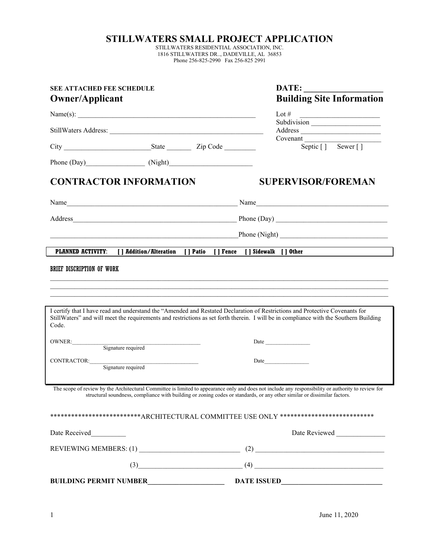## **STILLWATERS SMALL PROJECT APPLICATION**

STILLWATERS RESIDENTIAL ASSOCIATION, INC. 1816 STILLWATERS DR.., DADEVILLE, AL 36853 Phone 256-825-2990 Fax 256-825 2991

| <b>SEE ATTACHED FEE SCHEDULE</b><br><b>Owner/Applicant</b><br>Name(s): $\qquad \qquad$ |  |  | DATE:<br><b>Building Site Information</b><br>Lot # $\qquad \qquad$                                                                                                                                                                                                              |  |
|----------------------------------------------------------------------------------------|--|--|---------------------------------------------------------------------------------------------------------------------------------------------------------------------------------------------------------------------------------------------------------------------------------|--|
|                                                                                        |  |  |                                                                                                                                                                                                                                                                                 |  |
|                                                                                        |  |  | Covenant<br>n<br>Septic [] Sewer []                                                                                                                                                                                                                                             |  |
| Phone (Day) (Night) (Night)                                                            |  |  |                                                                                                                                                                                                                                                                                 |  |
| <b>CONTRACTOR INFORMATION</b>                                                          |  |  | <b>SUPERVISOR/FOREMAN</b>                                                                                                                                                                                                                                                       |  |
|                                                                                        |  |  |                                                                                                                                                                                                                                                                                 |  |
|                                                                                        |  |  |                                                                                                                                                                                                                                                                                 |  |
|                                                                                        |  |  | Phone (Night)                                                                                                                                                                                                                                                                   |  |
| PLANNED ACTIVITY: [ ] Addition/Alteration [ ] Patio [ ] Fence [ ] Sidewalk [ ] Other   |  |  |                                                                                                                                                                                                                                                                                 |  |
| Code.                                                                                  |  |  | I certify that I have read and understand the "Amended and Restated Declaration of Restrictions and Protective Covenants for<br>StillWaters" and will meet the requirements and restrictions as set forth therein. I will be in compliance with the Southern Building           |  |
| OWNER:<br>Signature required                                                           |  |  | Date <u>and</u> the state of the state of the state of the state of the state of the state of the state of the state of the state of the state of the state of the state of the state of the state of the state of the state of the                                             |  |
| CONTRACTOR:<br>Signature required                                                      |  |  | Date and the state of the state of the state of the state of the state of the state of the state of the state of the state of the state of the state of the state of the state of the state of the state of the state of the s                                                  |  |
|                                                                                        |  |  | The scope of review by the Architectural Committee is limited to appearance only and does not include any responsibility or authority to review for<br>structural soundness, compliance with building or zoning codes or standards, or any other similar or dissimilar factors. |  |
|                                                                                        |  |  | **************************ARCHITECTURAL COMMITTEE USE ONLY ***************************                                                                                                                                                                                          |  |
| Date Received                                                                          |  |  | Date Reviewed                                                                                                                                                                                                                                                                   |  |
|                                                                                        |  |  |                                                                                                                                                                                                                                                                                 |  |
|                                                                                        |  |  | $(3)$ (3)                                                                                                                                                                                                                                                                       |  |
| <b>BUILDING PERMIT NUMBER</b>                                                          |  |  | <b>DATE ISSUED</b>                                                                                                                                                                                                                                                              |  |